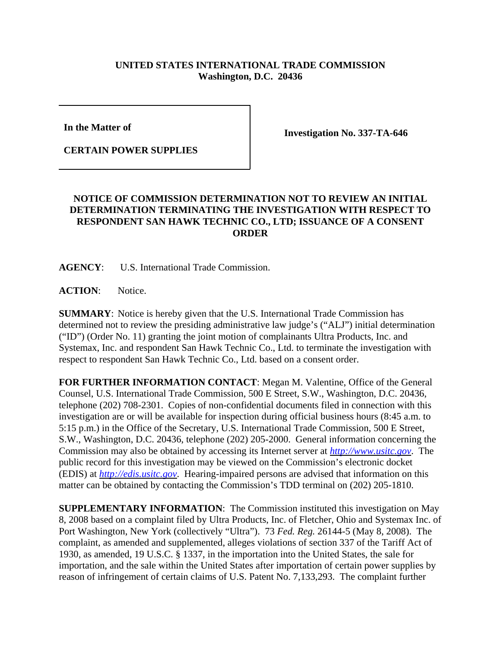## **UNITED STATES INTERNATIONAL TRADE COMMISSION Washington, D.C. 20436**

**In the Matter of** 

**CERTAIN POWER SUPPLIES**

**Investigation No. 337-TA-646**

## **NOTICE OF COMMISSION DETERMINATION NOT TO REVIEW AN INITIAL DETERMINATION TERMINATING THE INVESTIGATION WITH RESPECT TO RESPONDENT SAN HAWK TECHNIC CO., LTD; ISSUANCE OF A CONSENT ORDER**

**AGENCY**: U.S. International Trade Commission.

ACTION: Notice.

**SUMMARY**: Notice is hereby given that the U.S. International Trade Commission has determined not to review the presiding administrative law judge's ("ALJ") initial determination ("ID") (Order No. 11) granting the joint motion of complainants Ultra Products, Inc. and Systemax, Inc. and respondent San Hawk Technic Co., Ltd. to terminate the investigation with respect to respondent San Hawk Technic Co., Ltd. based on a consent order.

**FOR FURTHER INFORMATION CONTACT**: Megan M. Valentine, Office of the General Counsel, U.S. International Trade Commission, 500 E Street, S.W., Washington, D.C. 20436, telephone (202) 708-2301. Copies of non-confidential documents filed in connection with this investigation are or will be available for inspection during official business hours (8:45 a.m. to 5:15 p.m.) in the Office of the Secretary, U.S. International Trade Commission, 500 E Street, S.W., Washington, D.C. 20436, telephone (202) 205-2000. General information concerning the Commission may also be obtained by accessing its Internet server at *http://www.usitc.gov*. The public record for this investigation may be viewed on the Commission's electronic docket (EDIS) at *http://edis.usitc.gov*. Hearing-impaired persons are advised that information on this matter can be obtained by contacting the Commission's TDD terminal on (202) 205-1810.

**SUPPLEMENTARY INFORMATION**: The Commission instituted this investigation on May 8, 2008 based on a complaint filed by Ultra Products, Inc. of Fletcher, Ohio and Systemax Inc. of Port Washington, New York (collectively "Ultra"). 73 *Fed. Reg.* 26144-5 (May 8, 2008). The complaint, as amended and supplemented, alleges violations of section 337 of the Tariff Act of 1930, as amended, 19 U.S.C. § 1337, in the importation into the United States, the sale for importation, and the sale within the United States after importation of certain power supplies by reason of infringement of certain claims of U.S. Patent No. 7,133,293. The complaint further